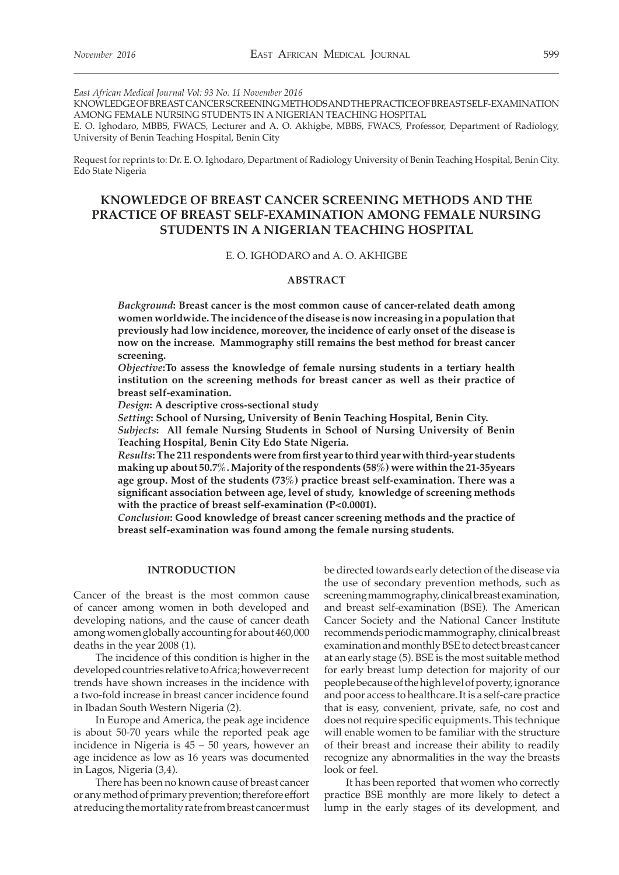KNOWLEDGE OF BREAST CANCER SCREENING METHODS AND THE PRACTICE OF BREAST SELF-EXAMINATION AMONG FEMALE NURSING STUDENTS IN A NIGERIAN TEACHING HOSPITAL

E. O. Ighodaro, MBBS, FWACS, Lecturer and A. O. Akhigbe, MBBS, FWACS, Professor, Department of Radiology, University of Benin Teaching Hospital, Benin City

Request for reprints to: Dr. E. O. Ighodaro, Department of Radiology University of Benin Teaching Hospital, Benin City. Edo State Nigeria

# **KNOWLEDGE OF BREAST CANCER SCREENING METHODS AND THE PRACTICE OF BREAST SELF-EXAMINATION AMONG FEMALE NURSING STUDENTS IN A NIGERIAN TEACHING HOSPITAL**

### E. O. IGHODARO and A. O. AKHIGBE

# **ABSTRACT**

*Background***: Breast cancer is the most common cause of cancer-related death among women worldwide. The incidence of the disease is now increasing in a population that previously had low incidence, moreover, the incidence of early onset of the disease is now on the increase. Mammography still remains the best method for breast cancer screening.**

*Objective***:To assess the knowledge of female nursing students in a tertiary health institution on the screening methods for breast cancer as well as their practice of breast self-examination.** 

*Design***: A descriptive cross-sectional study** 

*Setting***: School of Nursing, University of Benin Teaching Hospital, Benin City.**

*Subjects***: All female Nursing Students in School of Nursing University of Benin Teaching Hospital, Benin City Edo State Nigeria.** 

*Results***: The 211 respondents were from first year to third year with third-year students making up about 50.7%. Majority of the respondents (58%) were within the 21-35years age group. Most of the students (73%) practice breast self-examination. There was a significant association between age, level of study, knowledge of screening methods with the practice of breast self-examination (P<0.0001).** 

*Conclusion***: Good knowledge of breast cancer screening methods and the practice of breast self-examination was found among the female nursing students.** 

## **INTRODUCTION**

Cancer of the breast is the most common cause of cancer among women in both developed and developing nations, and the cause of cancer death among women globally accounting for about 460,000 deaths in the year 2008 (1).

The incidence of this condition is higher in the developed countries relative to Africa; however recent trends have shown increases in the incidence with a two-fold increase in breast cancer incidence found in Ibadan South Western Nigeria (2).

In Europe and America, the peak age incidence is about 50-70 years while the reported peak age incidence in Nigeria is 45 – 50 years, however an age incidence as low as 16 years was documented in Lagos, Nigeria (3,4).

There has been no known cause of breast cancer or any method of primary prevention; therefore effort at reducing the mortality rate from breast cancer must

be directed towards early detection of the disease via the use of secondary prevention methods, such as screening mammography, clinical breast examination, and breast self-examination (BSE). The American Cancer Society and the National Cancer Institute recommends periodic mammography, clinical breast examination and monthly BSE to detect breast cancer at an early stage (5). BSE is the most suitable method for early breast lump detection for majority of our people because of the high level of poverty, ignorance and poor access to healthcare. It is a self-care practice that is easy, convenient, private, safe, no cost and does not require specific equipments. This technique will enable women to be familiar with the structure of their breast and increase their ability to readily recognize any abnormalities in the way the breasts look or feel.

It has been reported that women who correctly practice BSE monthly are more likely to detect a lump in the early stages of its development, and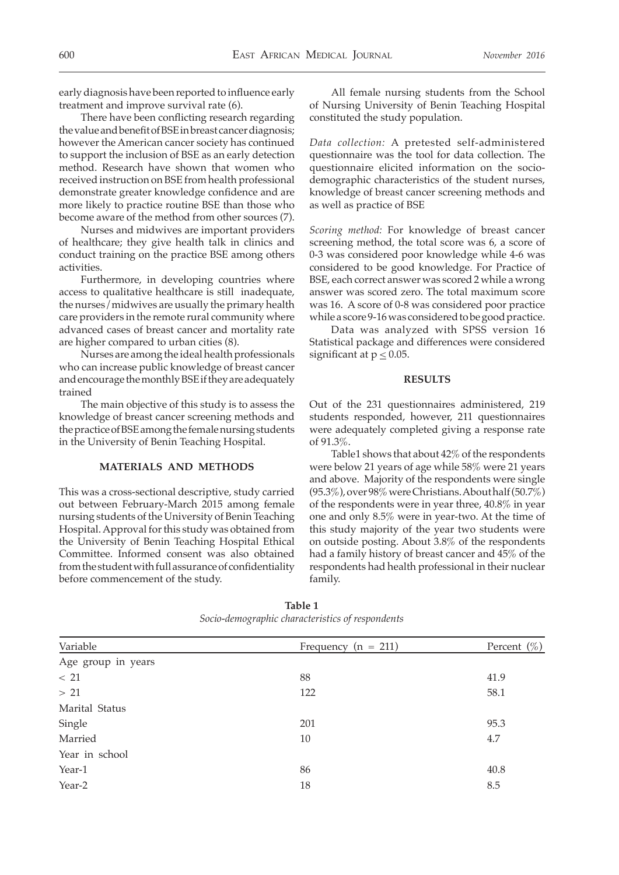early diagnosis have been reported to influence early treatment and improve survival rate (6).

There have been conflicting research regarding the value and benefit of BSE in breast cancer diagnosis; however the American cancer society has continued to support the inclusion of BSE as an early detection method. Research have shown that women who received instruction on BSE from health professional demonstrate greater knowledge confidence and are more likely to practice routine BSE than those who become aware of the method from other sources (7).

Nurses and midwives are important providers of healthcare; they give health talk in clinics and conduct training on the practice BSE among others activities.

Furthermore, in developing countries where access to qualitative healthcare is still inadequate, the nurses/midwives are usually the primary health care providers in the remote rural community where advanced cases of breast cancer and mortality rate are higher compared to urban cities (8).

Nurses are among the ideal health professionals who can increase public knowledge of breast cancer and encourage the monthly BSE if they are adequately trained

The main objective of this study is to assess the knowledge of breast cancer screening methods and the practice of BSE among the female nursing students in the University of Benin Teaching Hospital.

# **MATERIALS AND METHODS**

This was a cross-sectional descriptive, study carried out between February-March 2015 among female nursing students of the University of Benin Teaching Hospital. Approval for this study was obtained from the University of Benin Teaching Hospital Ethical Committee. Informed consent was also obtained from the student with full assurance of confidentiality before commencement of the study.

All female nursing students from the School of Nursing University of Benin Teaching Hospital constituted the study population.

*Data collection:* A pretested self-administered questionnaire was the tool for data collection. The questionnaire elicited information on the sociodemographic characteristics of the student nurses, knowledge of breast cancer screening methods and as well as practice of BSE

*Scoring method:* For knowledge of breast cancer screening method, the total score was 6, a score of 0-3 was considered poor knowledge while 4-6 was considered to be good knowledge. For Practice of BSE, each correct answer was scored 2 while a wrong answer was scored zero. The total maximum score was 16. A score of 0-8 was considered poor practice while a score 9-16 was considered to be good practice.

Data was analyzed with SPSS version 16 Statistical package and differences were considered significant at  $p \leq 0.05$ .

## **RESULTS**

Out of the 231 questionnaires administered, 219 students responded, however, 211 questionnaires were adequately completed giving a response rate of 91.3%.

Table1 shows that about 42% of the respondents were below 21 years of age while 58% were 21 years and above. Majority of the respondents were single (95.3%), over 98% were Christians. About half (50.7%) of the respondents were in year three, 40.8% in year one and only 8.5% were in year-two. At the time of this study majority of the year two students were on outside posting. About 3.8% of the respondents had a family history of breast cancer and 45% of the respondents had health professional in their nuclear family.

| Variable           | Frequency ( $n = 211$ ) | Percent $(\%)$ |  |
|--------------------|-------------------------|----------------|--|
| Age group in years |                         |                |  |
| $<\,21$            | 88                      | 41.9           |  |
| >21                | 122                     | 58.1           |  |
| Marital Status     |                         |                |  |
| Single             | 201                     | 95.3           |  |
| Married            | 10                      | 4.7            |  |
| Year in school     |                         |                |  |
| Year-1             | 86                      | 40.8           |  |
| Year-2             | 18                      | 8.5            |  |

**Table 1** *Socio-demographic characteristics of respondents*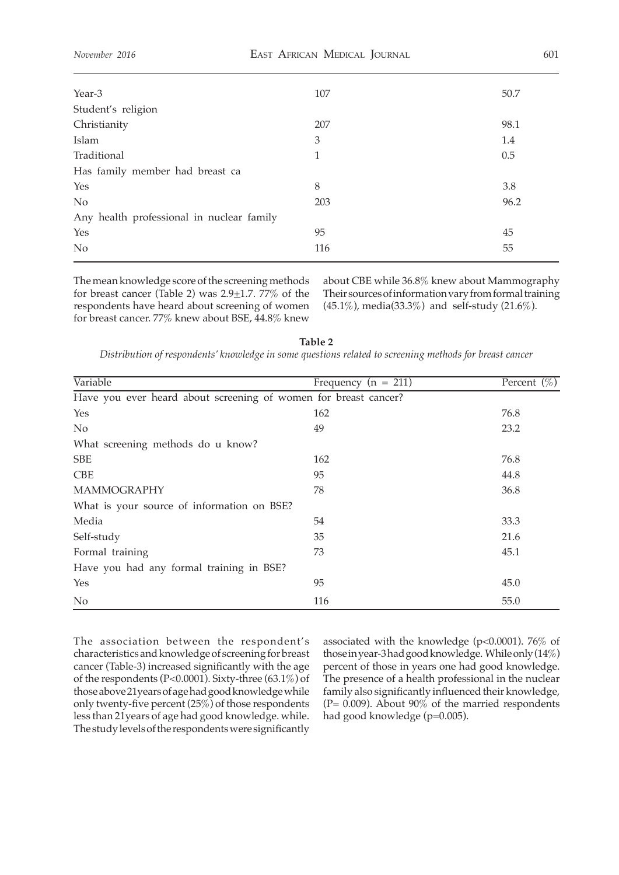| Year-3                                    | 107 | 50.7 |
|-------------------------------------------|-----|------|
| Student's religion                        |     |      |
| Christianity                              | 207 | 98.1 |
| Islam                                     | 3   | 1.4  |
| Traditional                               | 1   | 0.5  |
| Has family member had breast ca           |     |      |
| Yes                                       | 8   | 3.8  |
| N <sub>o</sub>                            | 203 | 96.2 |
| Any health professional in nuclear family |     |      |
| Yes                                       | 95  | 45   |
| N <sub>o</sub>                            | 116 | 55   |
|                                           |     |      |

The mean knowledge score of the screening methods for breast cancer (Table 2) was  $2.9 \pm 1.7$ . 77% of the respondents have heard about screening of women for breast cancer. 77% knew about BSE, 44.8% knew

about CBE while 36.8% knew about Mammography Their sources of information vary from formal training (45.1%), media(33.3%) and self-study (21.6%).

**Table 2** *Distribution of respondents' knowledge in some questions related to screening methods for breast cancer*

| Variable                                                        | Frequency $(n = 211)$ | Percent $(\%)$ |
|-----------------------------------------------------------------|-----------------------|----------------|
| Have you ever heard about screening of women for breast cancer? |                       |                |
| Yes                                                             | 162                   | 76.8           |
| N <sub>o</sub>                                                  | 49                    | 23.2           |
| What screening methods do u know?                               |                       |                |
| <b>SBE</b>                                                      | 162                   | 76.8           |
| <b>CBE</b>                                                      | 95                    | 44.8           |
| <b>MAMMOGRAPHY</b>                                              | 78                    | 36.8           |
| What is your source of information on BSE?                      |                       |                |
| Media                                                           | 54                    | 33.3           |
| Self-study                                                      | 35                    | 21.6           |
| Formal training                                                 | 73                    | 45.1           |
| Have you had any formal training in BSE?                        |                       |                |
| Yes                                                             | 95                    | 45.0           |
| No                                                              | 116                   | 55.0           |

The association between the respondent's characteristics and knowledge of screening for breast cancer (Table-3) increased significantly with the age of the respondents (P<0.0001). Sixty-three (63.1%) of those above 21years of age had good knowledge while only twenty-five percent (25%) of those respondents less than 21years of age had good knowledge. while. The study levels of the respondents were significantly

associated with the knowledge (p<0.0001). 76% of those in year-3 had good knowledge. While only (14%) percent of those in years one had good knowledge. The presence of a health professional in the nuclear family also significantly influenced their knowledge, ( $P = 0.009$ ). About 90% of the married respondents had good knowledge (p=0.005).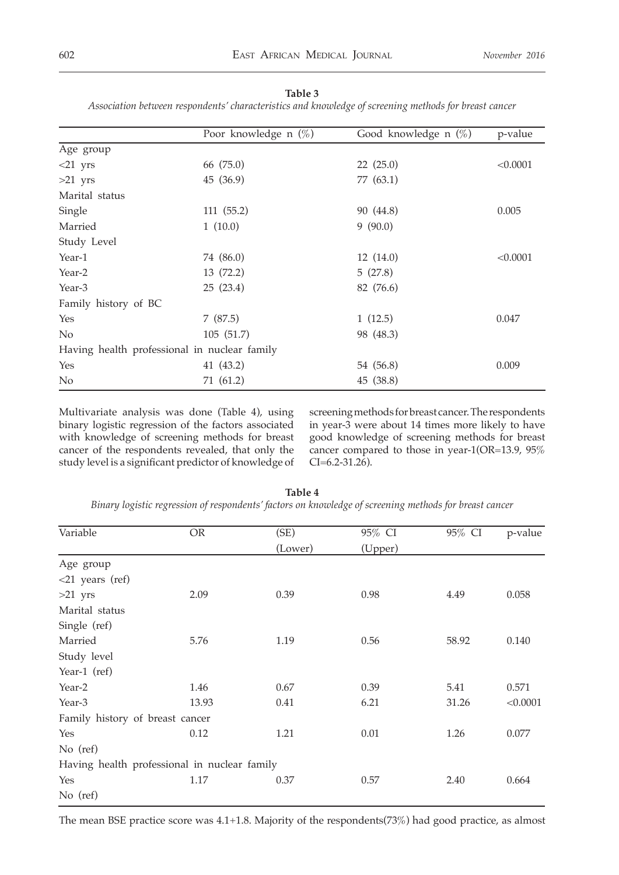#### **Table 3**

*Association between respondents' characteristics and knowledge of screening methods for breast cancer*

|                                              | Poor knowledge n $(\%)$ | Good knowledge n $(\%)$ | p-value  |
|----------------------------------------------|-------------------------|-------------------------|----------|
| Age group                                    |                         |                         |          |
| $<$ 21 yrs                                   | 66 (75.0)               | 22(25.0)                | < 0.0001 |
| $>21$ yrs                                    | 45 (36.9)               | 77 (63.1)               |          |
| Marital status                               |                         |                         |          |
| Single                                       | 111 (55.2)              | 90 (44.8)               | 0.005    |
| Married                                      | 1(10.0)                 | 9(90.0)                 |          |
| Study Level                                  |                         |                         |          |
| Year-1                                       | 74 (86.0)               | 12(14.0)                | < 0.0001 |
| Year-2                                       | 13 (72.2)               | 5(27.8)                 |          |
| Year-3                                       | 25(23.4)                | 82 (76.6)               |          |
| Family history of BC                         |                         |                         |          |
| Yes                                          | 7(87.5)                 | 1(12.5)                 | 0.047    |
| No                                           | 105(51.7)               | 98 (48.3)               |          |
| Having health professional in nuclear family |                         |                         |          |
| Yes                                          | 41 (43.2)               | 54 (56.8)               | 0.009    |
| No                                           | 71 (61.2)               | 45 (38.8)               |          |

Multivariate analysis was done (Table 4), using binary logistic regression of the factors associated with knowledge of screening methods for breast cancer of the respondents revealed, that only the study level is a significant predictor of knowledge of screening methods for breast cancer. The respondents in year-3 were about 14 times more likely to have good knowledge of screening methods for breast cancer compared to those in year-1(OR=13.9, 95% CI=6.2-31.26).

| Variable                                     | <b>OR</b> | (SE)    | 95% CI  | 95% CI | p-value  |
|----------------------------------------------|-----------|---------|---------|--------|----------|
|                                              |           | (Lower) | (Upper) |        |          |
| Age group                                    |           |         |         |        |          |
| $<$ 21 years (ref)                           |           |         |         |        |          |
| $>21$ yrs                                    | 2.09      | 0.39    | 0.98    | 4.49   | 0.058    |
| Marital status                               |           |         |         |        |          |
| Single (ref)                                 |           |         |         |        |          |
| Married                                      | 5.76      | 1.19    | 0.56    | 58.92  | 0.140    |
| Study level                                  |           |         |         |        |          |
| Year-1 (ref)                                 |           |         |         |        |          |
| Year-2                                       | 1.46      | 0.67    | 0.39    | 5.41   | 0.571    |
| Year-3                                       | 13.93     | 0.41    | 6.21    | 31.26  | < 0.0001 |
| Family history of breast cancer              |           |         |         |        |          |
| Yes                                          | 0.12      | 1.21    | 0.01    | 1.26   | 0.077    |
| No $(ref)$                                   |           |         |         |        |          |
| Having health professional in nuclear family |           |         |         |        |          |
| Yes                                          | 1.17      | 0.37    | 0.57    | 2.40   | 0.664    |
| No $(ref)$                                   |           |         |         |        |          |

**Table 4** *Binary logistic regression of respondents' factors on knowledge of screening methods for breast cancer*

The mean BSE practice score was 4.1+1.8. Majority of the respondents(73%) had good practice, as almost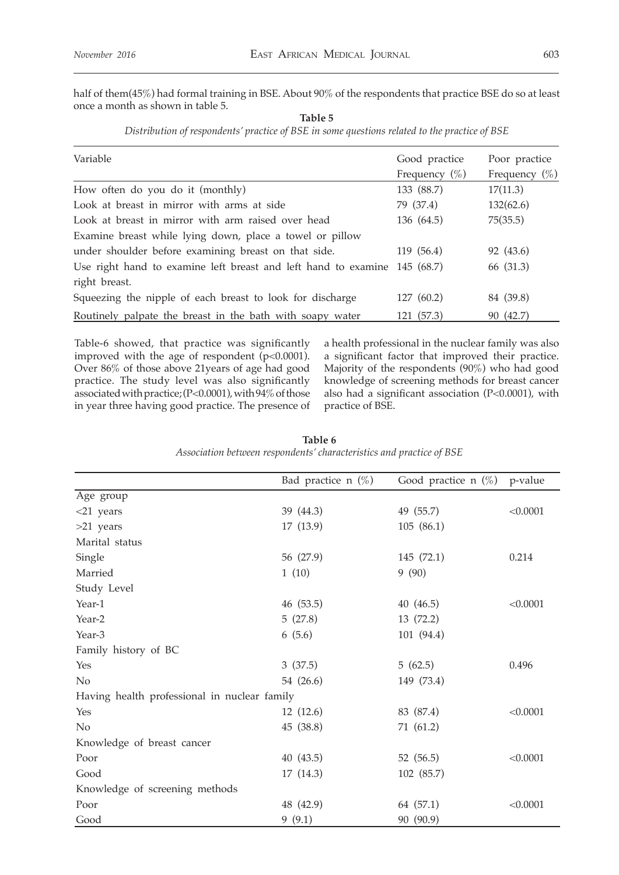half of them(45%) had formal training in BSE. About 90% of the respondents that practice BSE do so at least once a month as shown in table 5.

| Variable                                                       | Good practice<br>Frequency $(\%)$ | Poor practice<br>Frequency $(\%)$ |
|----------------------------------------------------------------|-----------------------------------|-----------------------------------|
| How often do you do it (monthly)                               | 133 (88.7)                        | 17(11.3)                          |
| Look at breast in mirror with arms at side                     | 79 (37.4)                         | 132(62.6)                         |
| Look at breast in mirror with arm raised over head             | 136 (64.5)                        | 75(35.5)                          |
| Examine breast while lying down, place a towel or pillow       |                                   |                                   |
| under shoulder before examining breast on that side.           | 119 (56.4)                        | 92 (43.6)                         |
| Use right hand to examine left breast and left hand to examine | 145 (68.7)                        | 66 (31.3)                         |
| right breast.                                                  |                                   |                                   |
| Squeezing the nipple of each breast to look for discharge      | 127 (60.2)                        | 84 (39.8)                         |
| Routinely palpate the breast in the bath with soapy water      | 121 (57.3)                        | 90 (42.7)                         |

**Table 5** *Distribution of respondents' practice of BSE in some questions related to the practice of BSE*

Table-6 showed, that practice was significantly improved with the age of respondent  $(p<0.0001)$ . Over 86% of those above 21years of age had good practice. The study level was also significantly associated with practice; (P<0.0001), with 94% of those in year three having good practice. The presence of

a health professional in the nuclear family was also a significant factor that improved their practice. Majority of the respondents (90%) who had good knowledge of screening methods for breast cancer also had a significant association (P<0.0001), with practice of BSE.

|                                              | Bad practice n $(\%)$ | Good practice n $(\%)$ | p-value  |
|----------------------------------------------|-----------------------|------------------------|----------|
| Age group                                    |                       |                        |          |
| $<$ 21 years                                 | 39 (44.3)             | 49 (55.7)              | < 0.0001 |
| $>21$ years                                  | 17 (13.9)             | 105(86.1)              |          |
| Marital status                               |                       |                        |          |
| Single                                       | 56 (27.9)             | 145 (72.1)             | 0.214    |
| Married                                      | 1(10)                 | 9(90)                  |          |
| Study Level                                  |                       |                        |          |
| Year-1                                       | 46 (53.5)             | 40 (46.5)              | < 0.0001 |
| Year-2                                       | 5(27.8)               | 13 (72.2)              |          |
| Year-3                                       | 6(5.6)                | 101 (94.4)             |          |
| Family history of BC                         |                       |                        |          |
| Yes                                          | 3(37.5)               | 5(62.5)                | 0.496    |
| No                                           | 54 (26.6)             | 149 (73.4)             |          |
| Having health professional in nuclear family |                       |                        |          |
| Yes                                          | 12(12.6)              | 83 (87.4)              | < 0.0001 |
| No                                           | 45 (38.8)             | 71(61.2)               |          |
| Knowledge of breast cancer                   |                       |                        |          |
| Poor                                         | 40 (43.5)             | 52 (56.5)              | < 0.0001 |
| Good                                         | 17(14.3)              | 102 (85.7)             |          |
| Knowledge of screening methods               |                       |                        |          |
| Poor                                         | 48 (42.9)             | 64 (57.1)              | < 0.0001 |
| Good                                         | 9(9.1)                | 90 (90.9)              |          |

**Table 6** *Association between respondents' characteristics and practice of BSE*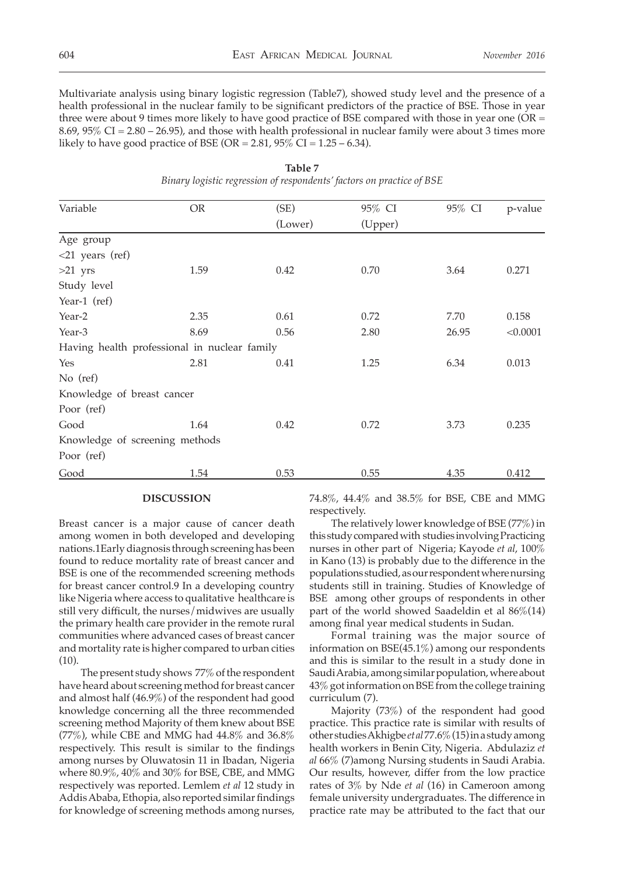Multivariate analysis using binary logistic regression (Table7), showed study level and the presence of a health professional in the nuclear family to be significant predictors of the practice of BSE. Those in year three were about 9 times more likely to have good practice of BSE compared with those in year one ( $OR =$ 8.69, 95% CI = 2.80 – 26.95), and those with health professional in nuclear family were about 3 times more likely to have good practice of BSE (OR = 2.81,  $95\%$  CI = 1.25 – 6.34).

| Variable                       | <b>OR</b>                                    | (SE)    | 95% CI  | 95% CI | p-value  |
|--------------------------------|----------------------------------------------|---------|---------|--------|----------|
|                                |                                              | (Lower) | (Upper) |        |          |
| Age group                      |                                              |         |         |        |          |
| $<$ 21 years (ref)             |                                              |         |         |        |          |
| $>21$ yrs                      | 1.59                                         | 0.42    | 0.70    | 3.64   | 0.271    |
| Study level                    |                                              |         |         |        |          |
| Year-1 (ref)                   |                                              |         |         |        |          |
| Year-2                         | 2.35                                         | 0.61    | 0.72    | 7.70   | 0.158    |
| Year-3                         | 8.69                                         | 0.56    | 2.80    | 26.95  | < 0.0001 |
|                                | Having health professional in nuclear family |         |         |        |          |
| Yes                            | 2.81                                         | 0.41    | 1.25    | 6.34   | 0.013    |
| No $(ref)$                     |                                              |         |         |        |          |
| Knowledge of breast cancer     |                                              |         |         |        |          |
| Poor (ref)                     |                                              |         |         |        |          |
| Good                           | 1.64                                         | 0.42    | 0.72    | 3.73   | 0.235    |
| Knowledge of screening methods |                                              |         |         |        |          |
| Poor (ref)                     |                                              |         |         |        |          |
| Good                           | 1.54                                         | 0.53    | 0.55    | 4.35   | 0.412    |

**Table 7** *Binary logistic regression of respondents' factors on practice of BSE*

#### **DISCUSSION**

Breast cancer is a major cause of cancer death among women in both developed and developing nations.1Early diagnosis through screening has been found to reduce mortality rate of breast cancer and BSE is one of the recommended screening methods for breast cancer control.9 In a developing country like Nigeria where access to qualitative healthcare is still very difficult, the nurses/midwives are usually the primary health care provider in the remote rural communities where advanced cases of breast cancer and mortality rate is higher compared to urban cities  $(10)$ .

The present study shows 77% of the respondent have heard about screening method for breast cancer and almost half (46.9%) of the respondent had good knowledge concerning all the three recommended screening method Majority of them knew about BSE (77%), while CBE and MMG had 44.8% and 36.8% respectively. This result is similar to the findings among nurses by Oluwatosin 11 in Ibadan, Nigeria where 80.9%, 40% and 30% for BSE, CBE, and MMG respectively was reported. Lemlem *et al* 12 study in Addis Ababa, Ethopia, also reported similar findings for knowledge of screening methods among nurses,

74.8%, 44.4% and 38.5% for BSE, CBE and MMG respectively.

The relatively lower knowledge of BSE (77%) in this study compared with studies involving Practicing nurses in other part of Nigeria; Kayode *et al*, 100% in Kano (13) is probably due to the difference in the populations studied, as our respondent where nursing students still in training. Studies of Knowledge of BSE among other groups of respondents in other part of the world showed Saadeldin et al 86%(14) among final year medical students in Sudan.

Formal training was the major source of information on BSE(45.1%) among our respondents and this is similar to the result in a study done in Saudi Arabia, among similar population, where about 43% got information on BSE from the college training curriculum (7).

Majority (73%) of the respondent had good practice. This practice rate is similar with results of other studies Akhigbe *et al* 77.6% (15) in a study among health workers in Benin City, Nigeria. Abdulaziz *et al* 66% (7)among Nursing students in Saudi Arabia. Our results, however, differ from the low practice rates of 3% by Nde *et al* (16) in Cameroon among female university undergraduates. The difference in practice rate may be attributed to the fact that our